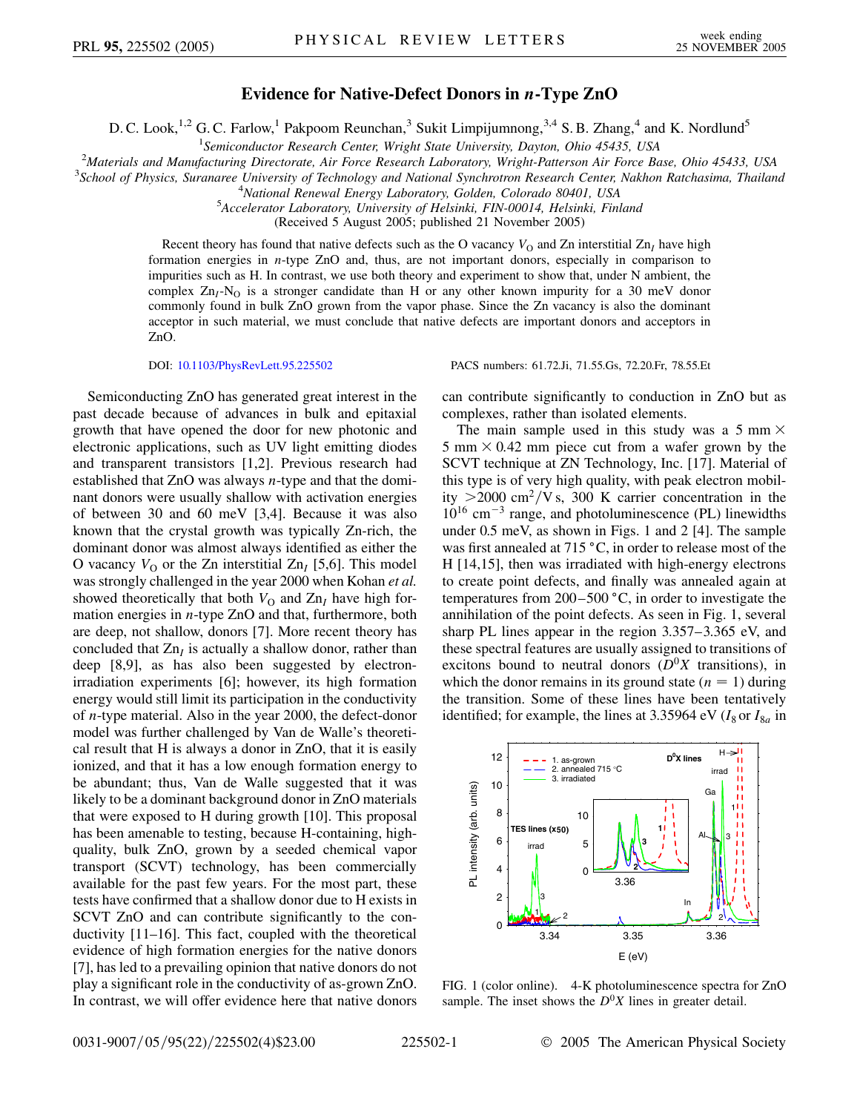## **Evidence for Native-Defect Donors in** *n***-Type ZnO**

D. C. Look,<sup>1,2</sup> G. C. Farlow,<sup>1</sup> Pakpoom Reunchan,<sup>3</sup> Sukit Limpijumnong,<sup>3,4</sup> S. B. Zhang,<sup>4</sup> and K. Nordlund<sup>5</sup>

<sup>1</sup>Semiconductor Research Center, Wright State University, Dayton, Ohio 45435, USA *Semiconductor Research Center, Wright State University, Dayton, Ohio 45435, USA* <sup>2</sup>

<sup>2</sup> Materials and Manufacturing Directorate, Air Force Research Laboratory, Wright-Patterson Air Force Base, Ohio 45433, USA<br><sup>3</sup> School of Physics, Surangree University of Technology and National Synchrotron Pesearch Cente

*School of Physics, Suranaree University of Technology and National Synchrotron Research Center, Nakhon Ratchasima, Thailand* <sup>4</sup>

<sup>4</sup> National Renewal Energy Laboratory, Golden, Colorado 80401, USA

*Accelerator Laboratory, University of Helsinki, FIN-00014, Helsinki, Finland*

(Received 5 August 2005; published 21 November 2005)

Recent theory has found that native defects such as the O vacancy  $V<sub>O</sub>$  and Zn interstitial Zn<sub>I</sub> have high formation energies in *n*-type ZnO and, thus, are not important donors, especially in comparison to impurities such as H. In contrast, we use both theory and experiment to show that, under N ambient, the complex  $Zn_I-N_O$  is a stronger candidate than H or any other known impurity for a 30 meV donor commonly found in bulk ZnO grown from the vapor phase. Since the Zn vacancy is also the dominant acceptor in such material, we must conclude that native defects are important donors and acceptors in ZnO.

DOI: [10.1103/PhysRevLett.95.225502](http://dx.doi.org/10.1103/PhysRevLett.95.225502) PACS numbers: 61.72.Ji, 71.55.Gs, 72.20.Fr, 78.55.Et

Semiconducting ZnO has generated great interest in the past decade because of advances in bulk and epitaxial growth that have opened the door for new photonic and electronic applications, such as UV light emitting diodes and transparent transistors [1,2]. Previous research had established that ZnO was always *n*-type and that the dominant donors were usually shallow with activation energies of between 30 and 60 meV [3,4]. Because it was also known that the crystal growth was typically Zn-rich, the dominant donor was almost always identified as either the O vacancy  $V_{\Omega}$  or the Zn interstitial Zn<sub>I</sub> [5,6]. This model was strongly challenged in the year 2000 when Kohan *et al.* showed theoretically that both  $V_{\text{O}}$  and  $Zn<sub>I</sub>$  have high formation energies in *n*-type ZnO and that, furthermore, both are deep, not shallow, donors [7]. More recent theory has concluded that  $Zn<sub>I</sub>$  is actually a shallow donor, rather than deep [8,9], as has also been suggested by electronirradiation experiments [6]; however, its high formation energy would still limit its participation in the conductivity of *n*-type material. Also in the year 2000, the defect-donor model was further challenged by Van de Walle's theoretical result that H is always a donor in ZnO, that it is easily ionized, and that it has a low enough formation energy to be abundant; thus, Van de Walle suggested that it was likely to be a dominant background donor in ZnO materials that were exposed to H during growth [10]. This proposal has been amenable to testing, because H-containing, highquality, bulk ZnO, grown by a seeded chemical vapor transport (SCVT) technology, has been commercially available for the past few years. For the most part, these tests have confirmed that a shallow donor due to H exists in SCVT ZnO and can contribute significantly to the conductivity [11–16]. This fact, coupled with the theoretical evidence of high formation energies for the native donors [7], has led to a prevailing opinion that native donors do not play a significant role in the conductivity of as-grown ZnO. In contrast, we will offer evidence here that native donors can contribute significantly to conduction in ZnO but as

complexes, rather than isolated elements. The main sample used in this study was a 5 mm  $\times$ 5 mm  $\times$  0.42 mm piece cut from a wafer grown by the SCVT technique at ZN Technology, Inc. [17]. Material of this type is of very high quality, with peak electron mobility  $>$ 2000 cm<sup>2</sup>/V s, 300 K carrier concentration in the 1016 cm-<sup>3</sup> range, and photoluminescence (PL) linewidths under 0.5 meV, as shown in Figs. 1 and 2 [4]. The sample was first annealed at  $715 \degree C$ , in order to release most of the H [14,15], then was irradiated with high-energy electrons to create point defects, and finally was annealed again at temperatures from  $200 - 500$  °C, in order to investigate the annihilation of the point defects. As seen in Fig. 1, several sharp PL lines appear in the region 3.357–3.365 eV, and these spectral features are usually assigned to transitions of excitons bound to neutral donors  $(D^0X$  transitions), in which the donor remains in its ground state  $(n = 1)$  during the transition. Some of these lines have been tentatively identified; for example, the lines at 3.35964 eV ( $I_8$  or  $I_{8a}$  in



FIG. 1 (color online). 4-K photoluminescence spectra for ZnO sample. The inset shows the  $D^0X$  lines in greater detail.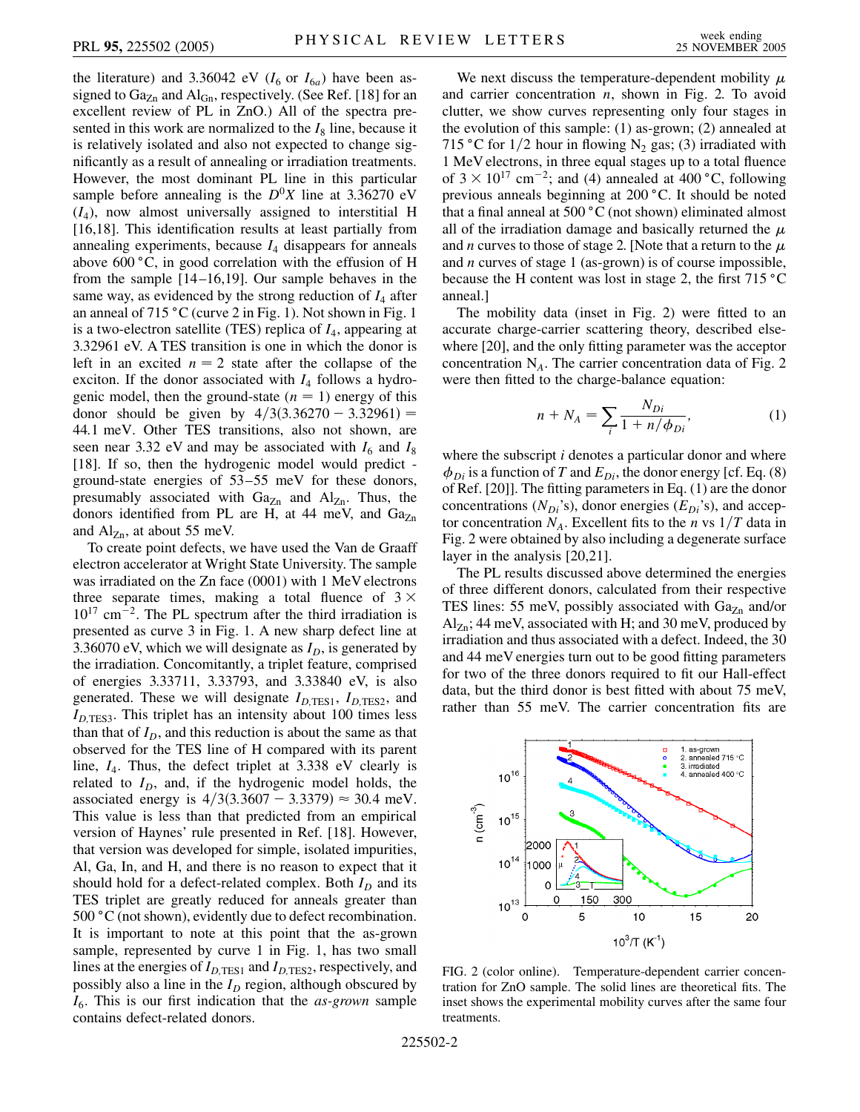the literature) and 3.36042 eV  $(I_6$  or  $I_{6a}$ ) have been assigned to  $Ga_{Zn}$  and  $Al_{Gn}$ , respectively. (See Ref. [18] for an excellent review of PL in ZnO.) All of the spectra presented in this work are normalized to the  $I_8$  line, because it is relatively isolated and also not expected to change significantly as a result of annealing or irradiation treatments. However, the most dominant PL line in this particular sample before annealing is the  $D^{0}X$  line at 3.36270 eV  $(I_4)$ , now almost universally assigned to interstitial H [16,18]. This identification results at least partially from annealing experiments, because *I*<sup>4</sup> disappears for anneals above  $600\degree C$ , in good correlation with the effusion of H from the sample [14 –16,19]. Our sample behaves in the same way, as evidenced by the strong reduction of  $I_4$  after an anneal of  $715 \degree C$  (curve 2 in Fig. 1). Not shown in Fig. 1 is a two-electron satellite (TES) replica of *I*4, appearing at 3.32961 eV. A TES transition is one in which the donor is left in an excited  $n = 2$  state after the collapse of the exciton. If the donor associated with  $I_4$  follows a hydrogenic model, then the ground-state  $(n = 1)$  energy of this donor should be given by  $4/3(3.36270 - 3.32961) =$ 44*:*1 meV. Other TES transitions, also not shown, are seen near 3.32 eV and may be associated with  $I_6$  and  $I_8$ [18]. If so, then the hydrogenic model would predict ground-state energies of 53–55 meV for these donors, presumably associated with  $Ga_{Zn}$  and  $Al_{Zn}$ . Thus, the donors identified from PL are H, at 44 meV, and  $Ga<sub>Zn</sub>$ and  $\text{Al}_{\text{Zn}}$ , at about 55 meV.

To create point defects, we have used the Van de Graaff electron accelerator at Wright State University. The sample was irradiated on the Zn face (0001) with 1 MeV electrons three separate times, making a total fluence of  $3 \times$  $10^{17}$  cm<sup>-2</sup>. The PL spectrum after the third irradiation is presented as curve 3 in Fig. 1. A new sharp defect line at 3.36070 eV, which we will designate as  $I<sub>D</sub>$ , is generated by the irradiation. Concomitantly, a triplet feature, comprised of energies 3.33711, 3.33793, and 3.33840 eV, is also generated. These we will designate  $I_{D,\text{TES1}}$ ,  $I_{D,\text{TES2}}$ , and  $I_{D,\text{TES3}}$ . This triplet has an intensity about 100 times less than that of  $I_D$ , and this reduction is about the same as that observed for the TES line of H compared with its parent line, *I*4. Thus, the defect triplet at 3.338 eV clearly is related to  $I_D$ , and, if the hydrogenic model holds, the associated energy is  $4/3(3.3607 - 3.3379) \approx 30.4$  meV. This value is less than that predicted from an empirical version of Haynes' rule presented in Ref. [18]. However, that version was developed for simple, isolated impurities, Al, Ga, In, and H, and there is no reason to expect that it should hold for a defect-related complex. Both  $I_D$  and its TES triplet are greatly reduced for anneals greater than  $500 \degree C$  (not shown), evidently due to defect recombination. It is important to note at this point that the as-grown sample, represented by curve 1 in Fig. 1, has two small lines at the energies of  $I_{D,\text{TES1}}$  and  $I_{D,\text{TES2}}$ , respectively, and possibly also a line in the  $I_D$  region, although obscured by *I*6. This is our first indication that the *as-grown* sample contains defect-related donors.

We next discuss the temperature-dependent mobility  $\mu$ and carrier concentration *n*, shown in Fig. 2. To avoid clutter, we show curves representing only four stages in the evolution of this sample: (1) as-grown; (2) annealed at 715 °C for  $1/2$  hour in flowing N<sub>2</sub> gas; (3) irradiated with 1 MeV electrons, in three equal stages up to a total fluence of  $3 \times 10^{17}$  cm<sup>-2</sup>; and (4) annealed at 400 °C, following previous anneals beginning at 200 °C. It should be noted that a final anneal at  $500\degree C$  (not shown) eliminated almost all of the irradiation damage and basically returned the  $\mu$ and *n* curves to those of stage 2. [Note that a return to the  $\mu$ and *n* curves of stage 1 (as-grown) is of course impossible, because the H content was lost in stage 2, the first  $715^{\circ}$ C anneal.]

The mobility data (inset in Fig. 2) were fitted to an accurate charge-carrier scattering theory, described elsewhere [20], and the only fitting parameter was the acceptor concentration N*A*. The carrier concentration data of Fig. 2 were then fitted to the charge-balance equation:

$$
n + N_A = \sum_{i} \frac{N_{Di}}{1 + n/\phi_{Di}},
$$
 (1)

where the subscript *i* denotes a particular donor and where  $\phi_{Di}$  is a function of *T* and  $E_{Di}$ , the donor energy [cf. Eq. (8) of Ref. [20]]. The fitting parameters in Eq. (1) are the donor concentrations  $(N_{Di}$ 's), donor energies  $(E_{Di}$ 's), and acceptor concentration  $N_A$ . Excellent fits to the *n* vs  $1/T$  data in Fig. 2 were obtained by also including a degenerate surface layer in the analysis [20,21].

The PL results discussed above determined the energies of three different donors, calculated from their respective TES lines: 55 meV, possibly associated with  $Ga_{Zn}$  and/or  $\text{Al}_{\text{Zn}}$ ; 44 meV, associated with H; and 30 meV, produced by irradiation and thus associated with a defect. Indeed, the 30 and 44 meV energies turn out to be good fitting parameters for two of the three donors required to fit our Hall-effect data, but the third donor is best fitted with about 75 meV, rather than 55 meV. The carrier concentration fits are



FIG. 2 (color online). Temperature-dependent carrier concentration for ZnO sample. The solid lines are theoretical fits. The inset shows the experimental mobility curves after the same four treatments.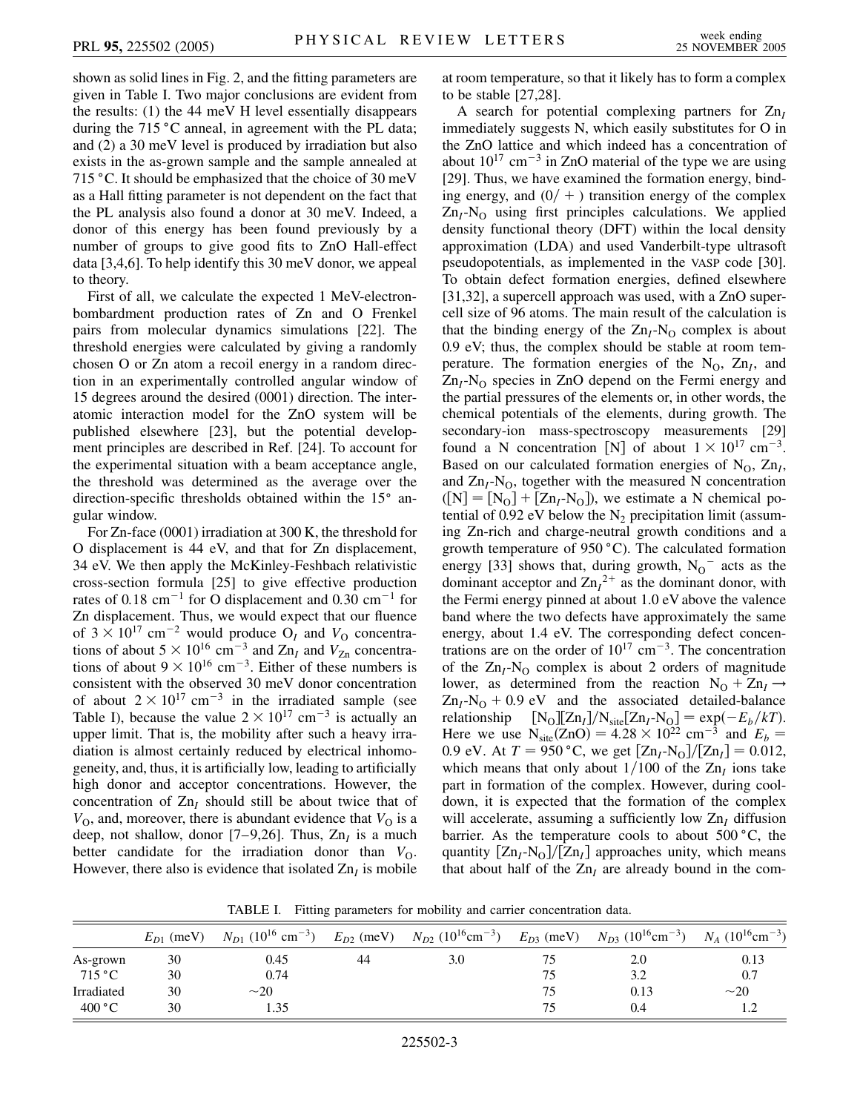shown as solid lines in Fig. 2, and the fitting parameters are given in Table I. Two major conclusions are evident from the results: (1) the 44 meV H level essentially disappears during the  $715 \degree C$  anneal, in agreement with the PL data; and (2) a 30 meV level is produced by irradiation but also exists in the as-grown sample and the sample annealed at 715 °C. It should be emphasized that the choice of 30 meV as a Hall fitting parameter is not dependent on the fact that the PL analysis also found a donor at 30 meV. Indeed, a donor of this energy has been found previously by a number of groups to give good fits to ZnO Hall-effect data [3,4,6]. To help identify this 30 meV donor, we appeal to theory.

First of all, we calculate the expected 1 MeV-electronbombardment production rates of Zn and O Frenkel pairs from molecular dynamics simulations [22]. The threshold energies were calculated by giving a randomly chosen O or Zn atom a recoil energy in a random direction in an experimentally controlled angular window of 15 degrees around the desired (0001) direction. The interatomic interaction model for the ZnO system will be published elsewhere [23], but the potential development principles are described in Ref. [24]. To account for the experimental situation with a beam acceptance angle, the threshold was determined as the average over the direction-specific thresholds obtained within the  $15^{\circ}$  angular window.

For Zn-face (0001) irradiation at 300 K, the threshold for O displacement is 44 eV, and that for Zn displacement, 34 eV. We then apply the McKinley-Feshbach relativistic cross-section formula [25] to give effective production rates of 0.18 cm<sup>-1</sup> for O displacement and 0.30 cm<sup>-1</sup> for Zn displacement. Thus, we would expect that our fluence of  $3 \times 10^{17}$  cm<sup>-2</sup> would produce O<sub>I</sub> and  $V<sub>O</sub>$  concentrations of about  $5 \times 10^{16}$  cm<sup>-3</sup> and Zn<sub>I</sub> and V<sub>Zn</sub> concentrations of about  $9 \times 10^{16}$  cm<sup>-3</sup>. Either of these numbers is consistent with the observed 30 meV donor concentration of about  $2 \times 10^{17}$  cm<sup>-3</sup> in the irradiated sample (see Table I), because the value  $2 \times 10^{17}$  cm<sup>-3</sup> is actually an upper limit. That is, the mobility after such a heavy irradiation is almost certainly reduced by electrical inhomogeneity, and, thus, it is artificially low, leading to artificially high donor and acceptor concentrations. However, the concentration of  $Zn<sub>I</sub>$  should still be about twice that of  $V<sub>O</sub>$ , and, moreover, there is abundant evidence that  $V<sub>O</sub>$  is a deep, not shallow, donor [7–9,26]. Thus,  $Zn<sub>I</sub>$  is a much better candidate for the irradiation donor than  $V_{\Omega}$ . However, there also is evidence that isolated  $Zn<sub>I</sub>$  is mobile at room temperature, so that it likely has to form a complex to be stable [27,28].

A search for potential complexing partners for Zn*<sup>I</sup>* immediately suggests N, which easily substitutes for O in the ZnO lattice and which indeed has a concentration of about  $10^{17}$  cm<sup>-3</sup> in ZnO material of the type we are using [29]. Thus, we have examined the formation energy, binding energy, and  $(0/ + )$  transition energy of the complex  $Zn_I-N_O$  using first principles calculations. We applied density functional theory (DFT) within the local density approximation (LDA) and used Vanderbilt-type ultrasoft pseudopotentials, as implemented in the VASP code [30]. To obtain defect formation energies, defined elsewhere [31,32], a supercell approach was used, with a ZnO supercell size of 96 atoms. The main result of the calculation is that the binding energy of the  $Zn_I-N_O$  complex is about 0.9 eV; thus, the complex should be stable at room temperature. The formation energies of the  $N_O$ ,  $Zn_I$ , and Zn<sub>I</sub>-N<sub>O</sub> species in ZnO depend on the Fermi energy and the partial pressures of the elements or, in other words, the chemical potentials of the elements, during growth. The secondary-ion mass-spectroscopy measurements [29] found a N concentration [N] of about  $1 \times 10^{17}$  cm<sup>-3</sup>. Based on our calculated formation energies of  $N_O$ ,  $Zn<sub>I</sub>$ , and  $\rm Zn<sub>I</sub>-N<sub>O</sub>$ , together with the measured N concentration  $([N] = [N_0] + [Zn_I-N_0])$ , we estimate a N chemical potential of 0.92 eV below the  $N_2$  precipitation limit (assuming Zn-rich and charge-neutral growth conditions and a growth temperature of  $950 °C$ ). The calculated formation energy [33] shows that, during growth,  $N_0$ <sup>-</sup> acts as the dominant acceptor and  $\text{Zn}_1^2$ <sup>+</sup> as the dominant donor, with the Fermi energy pinned at about 1.0 eV above the valence band where the two defects have approximately the same energy, about 1.4 eV. The corresponding defect concentrations are on the order of  $10^{17}$  cm<sup>-3</sup>. The concentration of the  $Zn_I-N_O$  complex is about 2 orders of magnitude lower, as determined from the reaction  $N_O + Zn_I \rightarrow$  $Zn_I-N_O + 0.9$  eV and the associated detailed-balance relationship  $[N_O][Zn_I]/N_{site}[Zn_I-N_O] = exp(-E_b/kT).$ Here we use  $N_{\text{site}}(ZnO) = 4.28 \times 10^{22} \text{ cm}^{-3}$  and  $E_b =$ 0.9 eV. At  $T = 950$  °C, we get  $[Zn_I-N_O]/[Zn_I] = 0.012$ , which means that only about  $1/100$  of the Zn<sub>I</sub> ions take part in formation of the complex. However, during cooldown, it is expected that the formation of the complex will accelerate, assuming a sufficiently low Zn<sub>I</sub> diffusion barrier. As the temperature cools to about  $500^{\circ}$ C, the quantity  $\left[\frac{Zn_I-N_O}{Zn_I}\right]$  approaches unity, which means that about half of the  $Zn<sub>I</sub>$  are already bound in the com-

TABLE I. Fitting parameters for mobility and carrier concentration data.

|            | $E_{D1}$ (meV) | $N_{D1}$ (10 <sup>16</sup> cm <sup>-3</sup> ) | $E_{D2}$ (meV) | $N_{D2}$ (10 <sup>16</sup> cm <sup>-3</sup> ) | $E_{D3}$ (meV) | $N_{D3}$ (10 <sup>16</sup> cm <sup>-3</sup> ) | $N_A$ (10 <sup>16</sup> cm <sup>-3</sup> ) |
|------------|----------------|-----------------------------------------------|----------------|-----------------------------------------------|----------------|-----------------------------------------------|--------------------------------------------|
| As-grown   | 30             | 0.45                                          | 44             | 3.0                                           |                | 2.0                                           | 0.13                                       |
| 715 °C     | 30             | 0.74                                          |                |                                               | 75             | 3.2                                           | 0.7                                        |
| Irradiated | 30             | $\sim$ 20                                     |                |                                               | 75             | 0.13                                          | $\sim$ 20                                  |
| 400 °C     | 30             | 1.35                                          |                |                                               |                | 0.4                                           |                                            |

225502-3